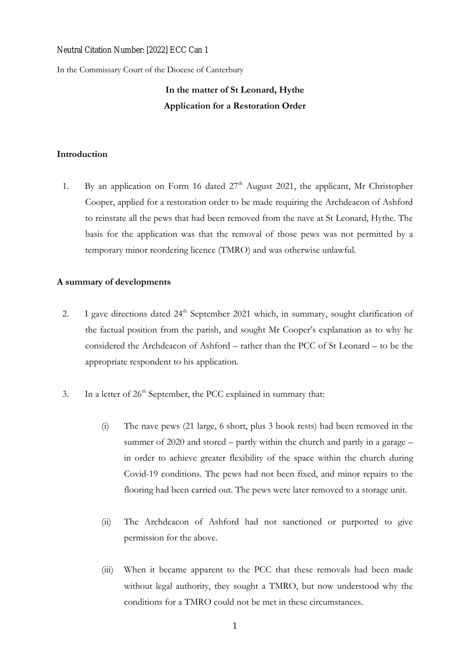# Neutral Citation Number: [2022] ECC Can 1

In the Commissary Court of the Diocese of Canterbury

# **In the matter of St Leonard, Hythe Application for a Restoration Order**

# **Introduction**

1. By an application on Form 16 dated  $27<sup>th</sup>$  August 2021, the applicant, Mr Christopher Cooper, applied for a restoration order to be made requiring the Archdeacon of Ashford to reinstate all the pews that had been removed from the nave at St Leonard, Hythe. The basis for the application was that the removal of those pews was not permitted by a temporary minor reordering licence (TMRO) and was otherwise unlawful.

# **A summary of developments**

- 2. I gave directions dated 24<sup>th</sup> September 2021 which, in summary, sought clarification of the factual position from the parish, and sought Mr Cooper's explanation as to why he considered the Archdeacon of Ashford – rather than the PCC of St Leonard – to be the appropriate respondent to his application.
- 3. In a letter of  $26<sup>th</sup>$  September, the PCC explained in summary that:
	- (i) The nave pews (21 large, 6 short, plus 3 book rests) had been removed in the summer of 2020 and stored – partly within the church and partly in a garage – in order to achieve greater flexibility of the space within the church during Covid-19 conditions. The pews had not been fixed, and minor repairs to the flooring had been carried out. The pews were later removed to a storage unit.
	- (ii) The Archdeacon of Ashford had not sanctioned or purported to give permission for the above.
	- (iii) When it became apparent to the PCC that these removals had been made without legal authority, they sought a TMRO, but now understood why the conditions for a TMRO could not be met in these circumstances.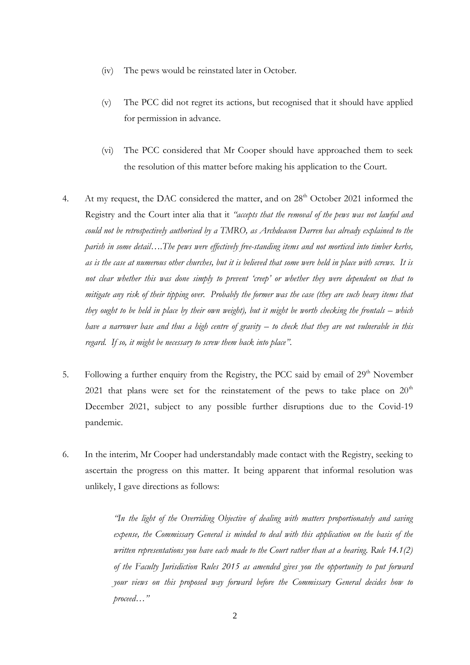- (iv) The pews would be reinstated later in October.
- (v) The PCC did not regret its actions, but recognised that it should have applied for permission in advance.
- (vi) The PCC considered that Mr Cooper should have approached them to seek the resolution of this matter before making his application to the Court.
- 4. At my request, the DAC considered the matter, and on 28<sup>th</sup> October 2021 informed the Registry and the Court inter alia that it *"accepts that the removal of the pews was not lawful and could not be retrospectively authorised by a TMRO, as Archdeacon Darren has already explained to the parish in some detail….The pews were effectively free-standing items and not morticed into timber kerbs, as is the case at numerous other churches, but it is believed that some were held in place with screws. It is not clear whether this was done simply to prevent 'creep' or whether they were dependent on that to mitigate any risk of their tipping over. Probably the former was the case (they are such heavy items that they ought to be held in place by their own weight), but it might be worth checking the frontals – which have a narrower base and thus a high centre of gravity – to check that they are not vulnerable in this regard. If so, it might be necessary to screw them back into place"*.
- 5. Following a further enquiry from the Registry, the PCC said by email of 29<sup>th</sup> November 2021 that plans were set for the reinstatement of the pews to take place on  $20<sup>th</sup>$ December 2021, subject to any possible further disruptions due to the Covid-19 pandemic.
- 6. In the interim, Mr Cooper had understandably made contact with the Registry, seeking to ascertain the progress on this matter. It being apparent that informal resolution was unlikely, I gave directions as follows:

*"In the light of the Overriding Objective of dealing with matters proportionately and saving expense, the Commissary General is minded to deal with this application on the basis of the written representations you have each made to the Court rather than at a hearing. Rule 14.1(2) of the Faculty Jurisdiction Rules 2015 as amended gives you the opportunity to put forward your views on this proposed way forward before the Commissary General decides how to proceed…"*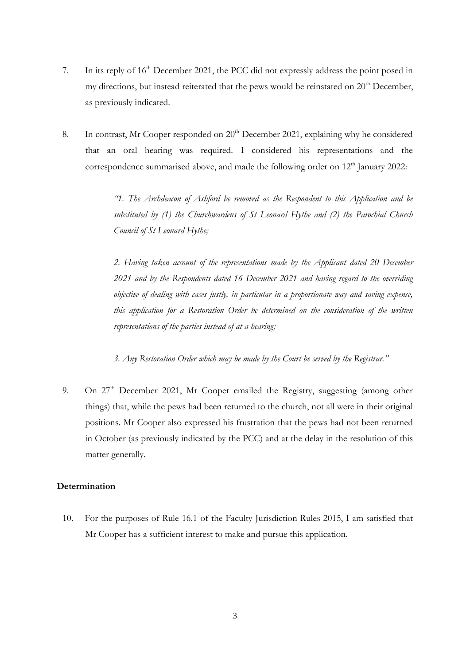- 7. In its reply of 16th December 2021, the PCC did not expressly address the point posed in my directions, but instead reiterated that the pews would be reinstated on  $20<sup>th</sup>$  December, as previously indicated.
- 8. In contrast, Mr Cooper responded on  $20<sup>th</sup>$  December 2021, explaining why he considered that an oral hearing was required. I considered his representations and the correspondence summarised above, and made the following order on  $12<sup>th</sup>$  January 2022:

*"1. The Archdeacon of Ashford be removed as the Respondent to this Application and be substituted by (1) the Churchwardens of St Leonard Hythe and (2) the Parochial Church Council of St Leonard Hythe;*

*2. Having taken account of the representations made by the Applicant dated 20 December 2021 and by the Respondents dated 16 December 2021 and having regard to the overriding objective of dealing with cases justly, in particular in a proportionate way and saving expense, this application for a Restoration Order be determined on the consideration of the written representations of the parties instead of at a hearing;*

*3. Any Restoration Order which may be made by the Court be served by the Registrar."*

9. On 27th December 2021, Mr Cooper emailed the Registry, suggesting (among other things) that, while the pews had been returned to the church, not all were in their original positions. Mr Cooper also expressed his frustration that the pews had not been returned in October (as previously indicated by the PCC) and at the delay in the resolution of this matter generally.

# **Determination**

10. For the purposes of Rule 16.1 of the Faculty Jurisdiction Rules 2015, I am satisfied that Mr Cooper has a sufficient interest to make and pursue this application.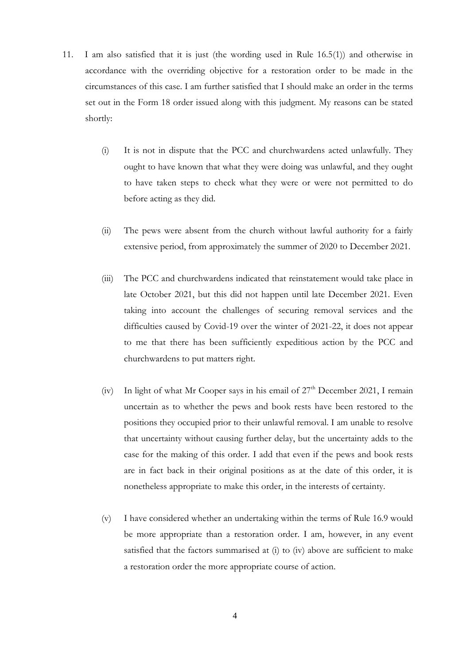- 11. I am also satisfied that it is just (the wording used in Rule 16.5(1)) and otherwise in accordance with the overriding objective for a restoration order to be made in the circumstances of this case. I am further satisfied that I should make an order in the terms set out in the Form 18 order issued along with this judgment. My reasons can be stated shortly:
	- (i) It is not in dispute that the PCC and churchwardens acted unlawfully. They ought to have known that what they were doing was unlawful, and they ought to have taken steps to check what they were or were not permitted to do before acting as they did.
	- (ii) The pews were absent from the church without lawful authority for a fairly extensive period, from approximately the summer of 2020 to December 2021.
	- (iii) The PCC and churchwardens indicated that reinstatement would take place in late October 2021, but this did not happen until late December 2021. Even taking into account the challenges of securing removal services and the difficulties caused by Covid-19 over the winter of 2021-22, it does not appear to me that there has been sufficiently expeditious action by the PCC and churchwardens to put matters right.
	- (iv) In light of what Mr Cooper says in his email of  $27<sup>th</sup>$  December 2021, I remain uncertain as to whether the pews and book rests have been restored to the positions they occupied prior to their unlawful removal. I am unable to resolve that uncertainty without causing further delay, but the uncertainty adds to the case for the making of this order. I add that even if the pews and book rests are in fact back in their original positions as at the date of this order, it is nonetheless appropriate to make this order, in the interests of certainty.
	- (v) I have considered whether an undertaking within the terms of Rule 16.9 would be more appropriate than a restoration order. I am, however, in any event satisfied that the factors summarised at (i) to (iv) above are sufficient to make a restoration order the more appropriate course of action.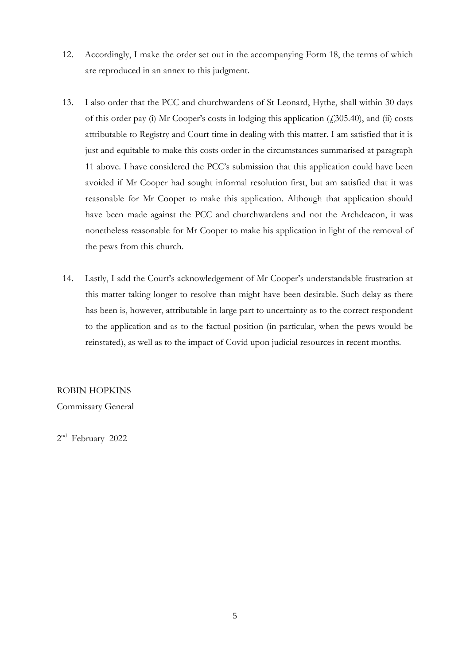- 12. Accordingly, I make the order set out in the accompanying Form 18, the terms of which are reproduced in an annex to this judgment.
- 13. I also order that the PCC and churchwardens of St Leonard, Hythe, shall within 30 days of this order pay (i) Mr Cooper's costs in lodging this application  $(f305.40)$ , and (ii) costs attributable to Registry and Court time in dealing with this matter. I am satisfied that it is just and equitable to make this costs order in the circumstances summarised at paragraph 11 above. I have considered the PCC's submission that this application could have been avoided if Mr Cooper had sought informal resolution first, but am satisfied that it was reasonable for Mr Cooper to make this application. Although that application should have been made against the PCC and churchwardens and not the Archdeacon, it was nonetheless reasonable for Mr Cooper to make his application in light of the removal of the pews from this church.
- 14. Lastly, I add the Court's acknowledgement of Mr Cooper's understandable frustration at this matter taking longer to resolve than might have been desirable. Such delay as there has been is, however, attributable in large part to uncertainty as to the correct respondent to the application and as to the factual position (in particular, when the pews would be reinstated), as well as to the impact of Covid upon judicial resources in recent months.

# ROBIN HOPKINS

Commissary General

2<sup>nd</sup> February 2022